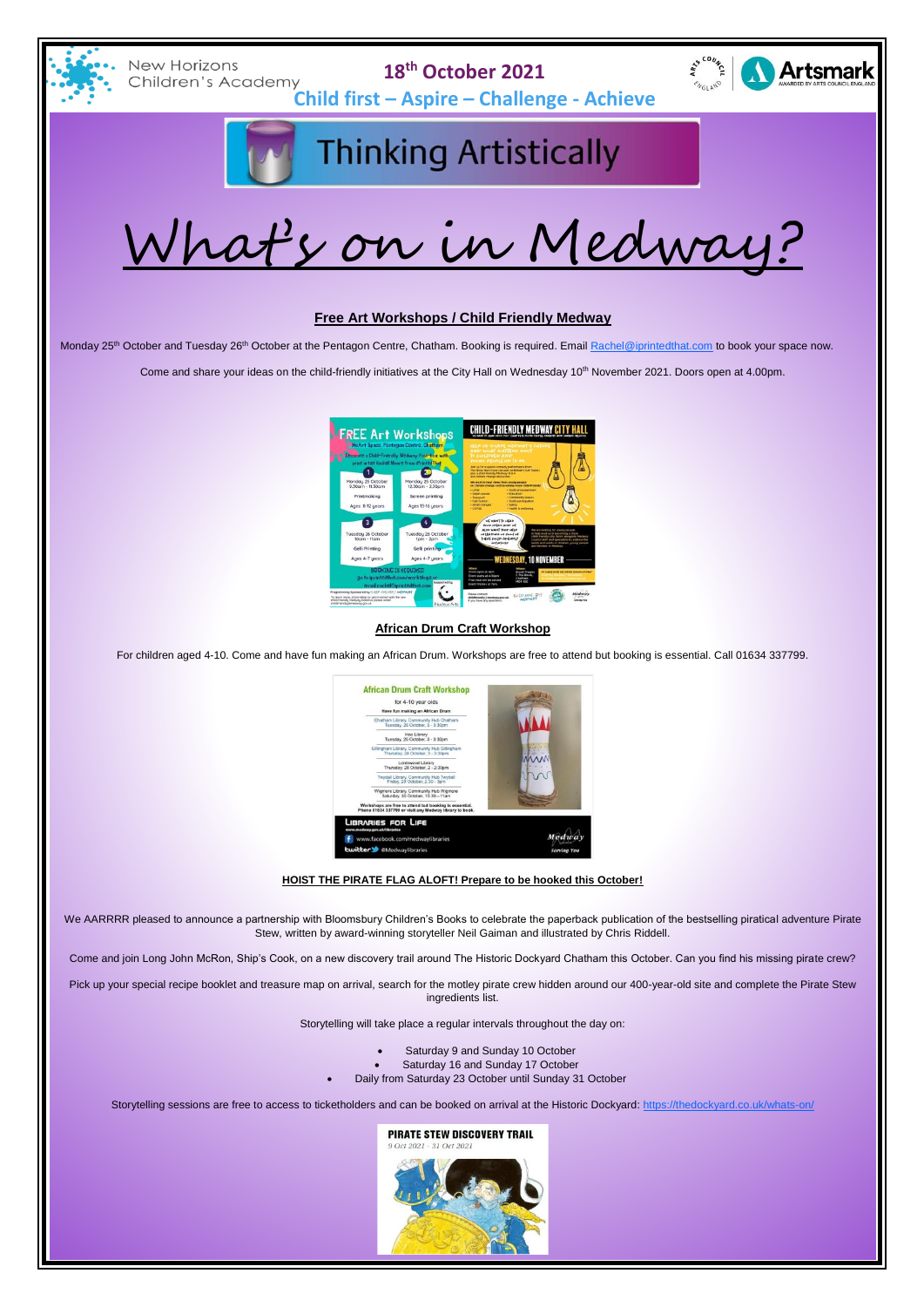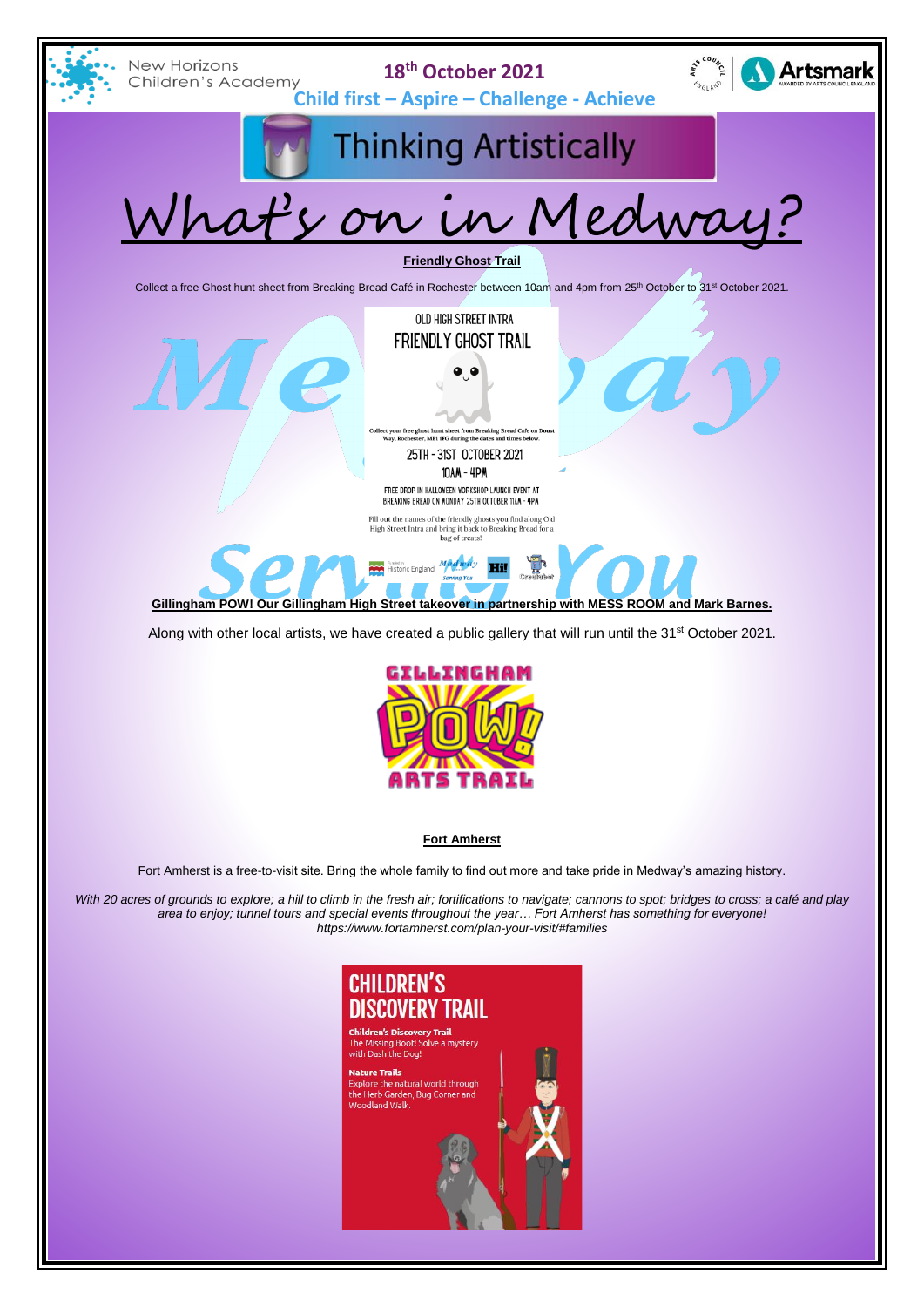



**Fort Amherst**

Fort Amherst is a free-to-visit site. Bring the whole family to find out more and take pride in Medway's amazing history.

*With 20 acres of grounds to explore; a hill to climb in the fresh air; fortifications to navigate; cannons to spot; bridges to cross; a café and play area to enjoy; tunnel tours and special events throughout the year… Fort Amherst has something for everyone! <https://www.fortamherst.com/plan-your-visit/#families>*